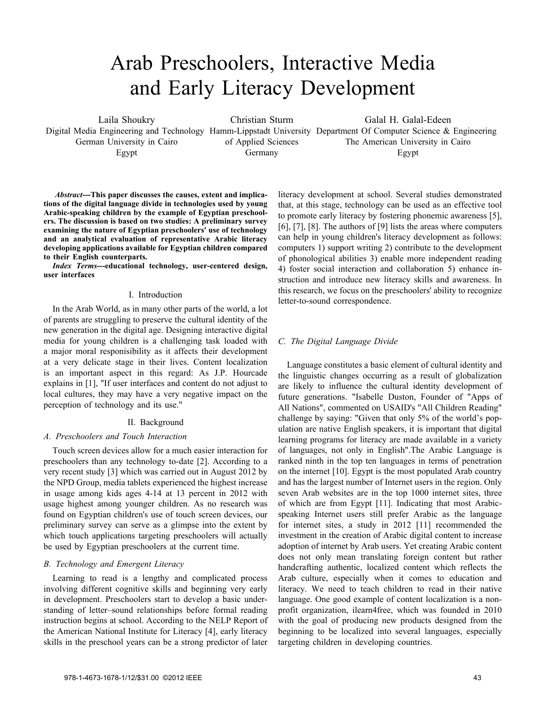# Arab Preschoolers, Interactive Media and Early Literacy Development

Laila Shoukry German University in Cairo Egypt

Christian Sturm of Applied Sciences Germany

Digital Media Engineering and Technology Hamm-Lippstadt University Department Of Computer Science & Engineering Galal H. Galal-Edeen The American University in Cairo Egypt

*Abstract***---This paper discusses the causes, extent and implications of the digital language divide in technologies used by young Arabic-speaking children by the example of Egyptian preschoolers. The discussion is based on two studies: A preliminary survey examining the nature of Egyptian preschoolers' use of technology and an analytical evaluation of representative Arabic literacy developing applications available for Egyptian children compared to their English counterparts.**

*Index Terms***---educational technology, user-centered design, user interfaces**

# I. Introduction

In the Arab World, as in many other parts of the world, a lot of parents are struggling to preserve the cultural identity of the new generation in the digital age. Designing interactive digital media for young children is a challenging task loaded with a major moral responisibility as it affects their development at a very delicate stage in their lives. Content localization is an important aspect in this regard: As J.P. Hourcade explains in [1], "If user interfaces and content do not adjust to local cultures, they may have a very negative impact on the perception of technology and its use."

## II. Background

# *A. Preschoolers and Touch Interaction*

Touch screen devices allow for a much easier interaction for preschoolers than any technology to-date [2]. According to a very recent study [3] which was carried out in August 2012 by the NPD Group, media tablets experienced the highest increase in usage among kids ages 4-14 at 13 percent in 2012 with usage highest among younger children. As no research was found on Egyptian children's use of touch screen devices, our preliminary survey can serve as a glimpse into the extent by which touch applications targeting preschoolers will actually be used by Egyptian preschoolers at the current time.

# *B. Technology and Emergent Literacy*

Learning to read is a lengthy and complicated process involving different cognitive skills and beginning very early in development. Preschoolers start to develop a basic understanding of letter–sound relationships before formal reading instruction begins at school. According to the NELP Report of the American National Institute for Literacy [4], early literacy skills in the preschool years can be a strong predictor of later

literacy development at school. Several studies demonstrated that, at this stage, technology can be used as an effective tool to promote early literacy by fostering phonemic awareness [5], [6], [7], [8]. The authors of [9] lists the areas where computers can help in young children's literacy development as follows: computers 1) support writing 2) contribute to the development of phonological abilities 3) enable more independent reading 4) foster social interaction and collaboration 5) enhance instruction and introduce new literacy skills and awareness. In this research, we focus on the preschoolers' ability to recognize letter-to-sound correspondence.

# *C. The Digital Language Divide*

Language constitutes a basic element of cultural identity and the linguistic changes occurring as a result of globalization are likely to influence the cultural identity development of future generations. "Isabelle Duston, Founder of "Apps of All Nations", commented on USAID's "All Children Reading" challenge by saying: "Given that only 5% of the world's population are native English speakers, it is important that digital learning programs for literacy are made available in a variety of languages, not only in English".The Arabic Language is ranked ninth in the top ten languages in terms of penetration on the internet [10]. Egypt is the most populated Arab country and has the largest number of Internet users in the region. Only seven Arab websites are in the top 1000 internet sites, three of which are from Egypt [11]. Indicating that most Arabicspeaking Internet users still prefer Arabic as the language for internet sites, a study in 2012 [11] recommended the investment in the creation of Arabic digital content to increase adoption of internet by Arab users. Yet creating Arabic content does not only mean translating foreign content but rather handcrafting authentic, localized content which reflects the Arab culture, especially when it comes to education and literacy. We need to teach children to read in their native language. One good example of content localization is a nonprofit organization, ilearn4free, which was founded in 2010 with the goal of producing new products designed from the beginning to be localized into several languages, especially targeting children in developing countries.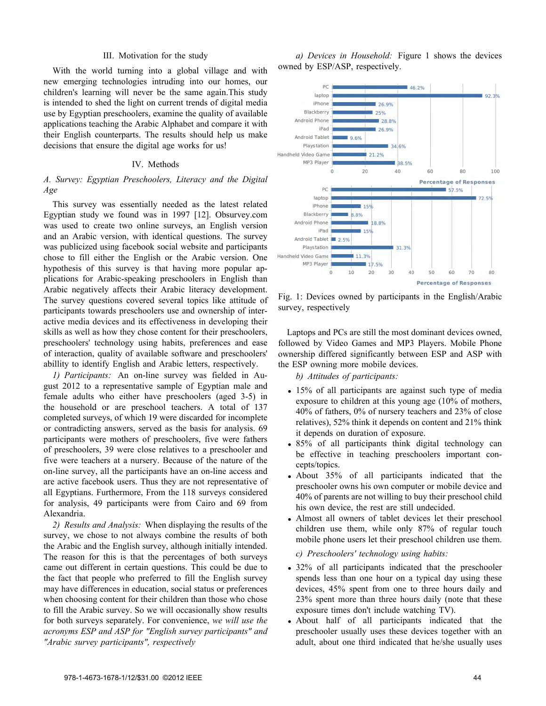#### III. Motivation for the study

With the world turning into a global village and with new emerging technologies intruding into our homes, our children's learning will never be the same again.This study is intended to shed the light on current trends of digital media use by Egyptian preschoolers, examine the quality of available applications teaching the Arabic Alphabet and compare it with their English counterparts. The results should help us make decisions that ensure the digital age works for us!

## IV. Methods

# *A. Survey: Egyptian Preschoolers, Literacy and the Digital Age*

This survey was essentially needed as the latest related Egyptian study we found was in 1997 [12]. Obsurvey.com was used to create two online surveys, an English version and an Arabic version, with identical questions. The survey was publicized using facebook social website and participants chose to fill either the English or the Arabic version. One hypothesis of this survey is that having more popular applications for Arabic-speaking preschoolers in English than Arabic negatively affects their Arabic literacy development. The survey questions covered several topics like attitude of participants towards preschoolers use and ownership of interactive media devices and its effectiveness in developing their skills as well as how they chose content for their preschoolers, preschoolers' technology using habits, preferences and ease of interaction, quality of available software and preschoolers' abillity to identify English and Arabic letters, respectively.

*1) Participants:* An on-line survey was fielded in August 2012 to a representative sample of Egyptian male and female adults who either have preschoolers (aged 3-5) in the household or are preschool teachers. A total of 137 completed surveys, of which 19 were discarded for incomplete or contradicting answers, served as the basis for analysis. 69 participants were mothers of preschoolers, five were fathers of preschoolers, 39 were close relatives to a preschooler and five were teachers at a nursery. Because of the nature of the on-line survey, all the participants have an on-line access and are active facebook users. Thus they are not representative of all Egyptians. Furthermore, From the 118 surveys considered for analysis, 49 participants were from Cairo and 69 from Alexandria.

*2) Results and Analysis:* When displaying the results of the survey, we chose to not always combine the results of both the Arabic and the English survey, although initially intended. The reason for this is that the percentages of both surveys came out different in certain questions. This could be due to the fact that people who preferred to fill the English survey may have differences in education, social status or preferences when choosing content for their children than those who chose to fill the Arabic survey. So we will occasionally show results for both surveys separately. For convenience, *we will use the acronyms ESP and ASP for "English survey participants" and "Arabic survey participants", respectively*

*a) Devices in Household:* Figure 1 shows the devices owned by ESP/ASP, respectively.



Fig. 1: Devices owned by participants in the English/Arabic survey, respectively

Laptops and PCs are still the most dominant devices owned, followed by Video Games and MP3 Players. Mobile Phone ownership differed significantly between ESP and ASP with the ESP owning more mobile devices.

*b) Attitudes of participants:*

- 15% of all participants are against such type of media exposure to children at this young age (10% of mothers, 40% of fathers, 0% of nursery teachers and 23% of close relatives), 52% think it depends on content and 21% think it depends on duration of exposure.
- 85% of all participants think digital technology can be effective in teaching preschoolers important concepts/topics.
- *•* About 35% of all participants indicated that the preschooler owns his own computer or mobile device and 40% of parents are not willing to buy their preschool child his own device, the rest are still undecided.
- *•* Almost all owners of tablet devices let their preschool children use them, while only 87% of regular touch mobile phone users let their preschool children use them.

*c) Preschoolers' technology using habits:*

- 32% of all participants indicated that the preschooler spends less than one hour on a typical day using these devices, 45% spent from one to three hours daily and 23% spent more than three hours daily (note that these exposure times don't include watching TV).
- *•* About half of all participants indicated that the preschooler usually uses these devices together with an adult, about one third indicated that he/she usually uses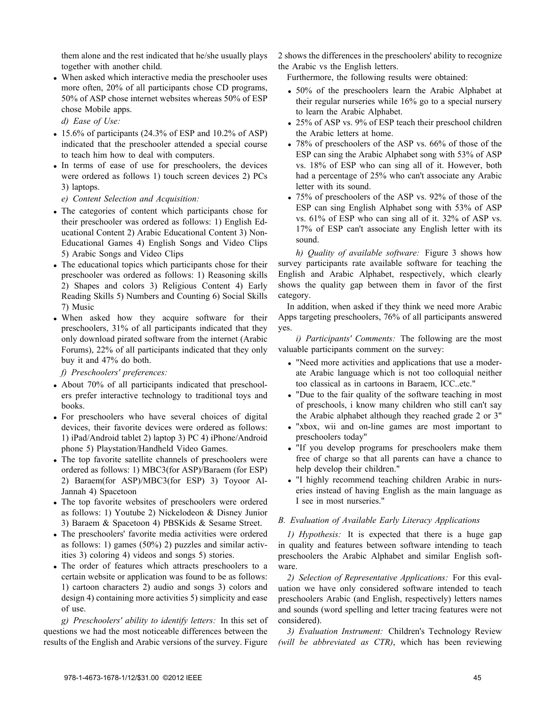them alone and the rest indicated that he/she usually plays together with another child.

*•* When asked which interactive media the preschooler uses more often, 20% of all participants chose CD programs, 50% of ASP chose internet websites whereas 50% of ESP chose Mobile apps.

*d) Ease of Use:*

- 15.6% of participants (24.3% of ESP and 10.2% of ASP) indicated that the preschooler attended a special course to teach him how to deal with computers.
- *•* In terms of ease of use for preschoolers, the devices were ordered as follows 1) touch screen devices 2) PCs 3) laptops.
	- *e) Content Selection and Acquisition:*
- *•* The categories of content which participants chose for their preschooler was ordered as follows: 1) English Educational Content 2) Arabic Educational Content 3) Non-Educational Games 4) English Songs and Video Clips 5) Arabic Songs and Video Clips
- *•* The educational topics which participants chose for their preschooler was ordered as follows: 1) Reasoning skills 2) Shapes and colors 3) Religious Content 4) Early Reading Skills 5) Numbers and Counting 6) Social Skills 7) Music
- When asked how they acquire software for their preschoolers, 31% of all participants indicated that they only download pirated software from the internet (Arabic Forums), 22% of all participants indicated that they only buy it and 47% do both.

*f) Preschoolers' preferences:*

- *•* About 70% of all participants indicated that preschoolers prefer interactive technology to traditional toys and books.
- *•* For preschoolers who have several choices of digital devices, their favorite devices were ordered as follows: 1) iPad/Android tablet 2) laptop 3) PC 4) iPhone/Android phone 5) Playstation/Handheld Video Games.
- *•* The top favorite satellite channels of preschoolers were ordered as follows: 1) MBC3(for ASP)/Baraem (for ESP) 2) Baraem(for ASP)/MBC3(for ESP) 3) Toyoor Al-Jannah 4) Spacetoon
- *•* The top favorite websites of preschoolers were ordered as follows: 1) Youtube 2) Nickelodeon & Disney Junior 3) Baraem & Spacetoon 4) PBSKids & Sesame Street.
- *•* The preschoolers' favorite media activities were ordered as follows: 1) games (50%) 2) puzzles and similar activities 3) coloring 4) videos and songs 5) stories.
- *•* The order of features which attracts preschoolers to a certain website or application was found to be as follows: 1) cartoon characters 2) audio and songs 3) colors and design 4) containing more activities 5) simplicity and ease of use.

*g) Preschoolers' ability to identify letters:* In this set of questions we had the most noticeable differences between the results of the English and Arabic versions of the survey. Figure 2 shows the differences in the preschoolers' ability to recognize the Arabic vs the English letters.

Furthermore, the following results were obtained:

- *•* 50% of the preschoolers learn the Arabic Alphabet at their regular nurseries while 16% go to a special nursery to learn the Arabic Alphabet.
- *•* 25% of ASP vs. 9% of ESP teach their preschool children the Arabic letters at home.
- 78% of preschoolers of the ASP vs. 66% of those of the ESP can sing the Arabic Alphabet song with 53% of ASP vs. 18% of ESP who can sing all of it. However, both had a percentage of 25% who can't associate any Arabic letter with its sound.
- 75% of preschoolers of the ASP vs. 92% of those of the ESP can sing English Alphabet song with 53% of ASP vs. 61% of ESP who can sing all of it. 32% of ASP vs. 17% of ESP can't associate any English letter with its sound.

*h) Quality of available software:* Figure 3 shows how survey participants rate available software for teaching the English and Arabic Alphabet, respectively, which clearly shows the quality gap between them in favor of the first category.

In addition, when asked if they think we need more Arabic Apps targeting preschoolers, 76% of all participants answered yes.

*i) Participants' Comments:* The following are the most valuable participants comment on the survey:

- *•* "Need more activities and applications that use a moderate Arabic language which is not too colloquial neither too classical as in cartoons in Baraem, ICC..etc."
- "Due to the fair quality of the software teaching in most of preschools, i know many children who still can't say the Arabic alphabet although they reached grade 2 or 3"
- *•* "xbox, wii and on-line games are most important to preschoolers today"
- *•* "If you develop programs for preschoolers make them free of charge so that all parents can have a chance to help develop their children."
- *•* "I highly recommend teaching children Arabic in nurseries instead of having English as the main language as I see in most nurseries."

# *B. Evaluation of Available Early Literacy Applications*

*1) Hypothesis:* It is expected that there is a huge gap in quality and features between software intending to teach preschoolers the Arabic Alphabet and similar English software.

*2) Selection of Representative Applications:* For this evaluation we have only considered software intended to teach preschoolers Arabic (and English, respectively) letters names and sounds (word spelling and letter tracing features were not considered).

*3) Evaluation Instrument:* Children's Technology Review *(will be abbreviated as CTR)*, which has been reviewing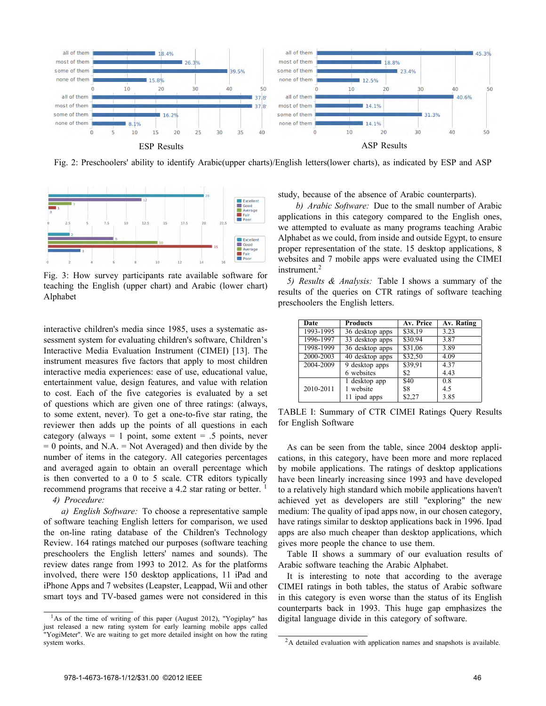

Fig. 2: Preschoolers' ability to identify Arabic(upper charts)/English letters(lower charts), as indicated by ESP and ASP



Fig. 3: How survey participants rate available software for teaching the English (upper chart) and Arabic (lower chart) Alphabet

interactive children's media since 1985, uses a systematic assessment system for evaluating children's software, Children's Interactive Media Evaluation Instrument (CIMEI) [13]. The instrument measures five factors that apply to most children interactive media experiences: ease of use, educational value, entertainment value, design features, and value with relation to cost. Each of the five categories is evaluated by a set of questions which are given one of three ratings: (always, to some extent, never). To get a one-to-five star rating, the reviewer then adds up the points of all questions in each category (always  $= 1$  point, some extent  $= .5$  points, never  $= 0$  points, and N.A.  $=$  Not Averaged) and then divide by the number of items in the category. All categories percentages and averaged again to obtain an overall percentage which is then converted to a 0 to 5 scale. CTR editors typically recommend programs that receive a 4.2 star rating or better.  $\frac{1}{1}$ 

*4) Procedure:*

*a) English Software:* To choose a representative sample of software teaching English letters for comparison, we used the on-line rating database of the Children's Technology Review. 164 ratings matched our purposes (software teaching preschoolers the English letters' names and sounds). The review dates range from 1993 to 2012. As for the platforms involved, there were 150 desktop applications, 11 iPad and iPhone Apps and 7 websites (Leapster, Leappad, Wii and other smart toys and TV-based games were not considered in this

 $<sup>1</sup>$ As of the time of writing of this paper (August 2012), "Yogiplay" has</sup> just released a new rating system for early learning mobile apps called "YogiMeter". We are waiting to get more detailed insight on how the rating system works.

study, because of the absence of Arabic counterparts).

*b) Arabic Software:* Due to the small number of Arabic applications in this category compared to the English ones, we attempted to evaluate as many programs teaching Arabic Alphabet as we could, from inside and outside Egypt, to ensure proper representation of the state. 15 desktop applications, 8 websites and 7 mobile apps were evaluated using the CIMEI instrument.<sup>2</sup>

*5) Results & Analysis:* Table I shows a summary of the results of the queries on CTR ratings of software teaching preschoolers the English letters.

| Date      | <b>Products</b> | Av. Price | Av. Rating |
|-----------|-----------------|-----------|------------|
| 1993-1995 | 36 desktop apps | \$38,19   | 3.23       |
| 1996-1997 | 33 desktop apps | \$30.94   | 3.87       |
| 1998-1999 | 36 desktop apps | \$31,06   | 3.89       |
| 2000-2003 | 40 desktop apps | \$32,50   | 4.09       |
| 2004-2009 | 9 desktop apps  | \$39,91   | 4.37       |
|           | 6 websites      | \$2       | 4.43       |
|           | 1 desktop app   | \$40      | 0.8        |
| 2010-2011 | 1 website       | \$8       | 4.5        |
|           | 11 ipad apps    | \$2,27    | 3.85       |

TABLE I: Summary of CTR CIMEI Ratings Query Results for English Software

As can be seen from the table, since 2004 desktop applications, in this category, have been more and more replaced by mobile applications. The ratings of desktop applications have been linearly increasing since 1993 and have developed to a relatively high standard which mobile applications haven't achieved yet as developers are still "exploring" the new medium: The quality of ipad apps now, in our chosen category, have ratings similar to desktop applications back in 1996. Ipad apps are also much cheaper than desktop applications, which gives more people the chance to use them.

Table II shows a summary of our evaluation results of Arabic software teaching the Arabic Alphabet.

It is interesting to note that according to the average CIMEI ratings in both tables, the status of Arabic software in this category is even worse than the status of its English counterparts back in 1993. This huge gap emphasizes the digital language divide in this category of software.

<sup>&</sup>lt;sup>2</sup>A detailed evaluation with application names and snapshots is available.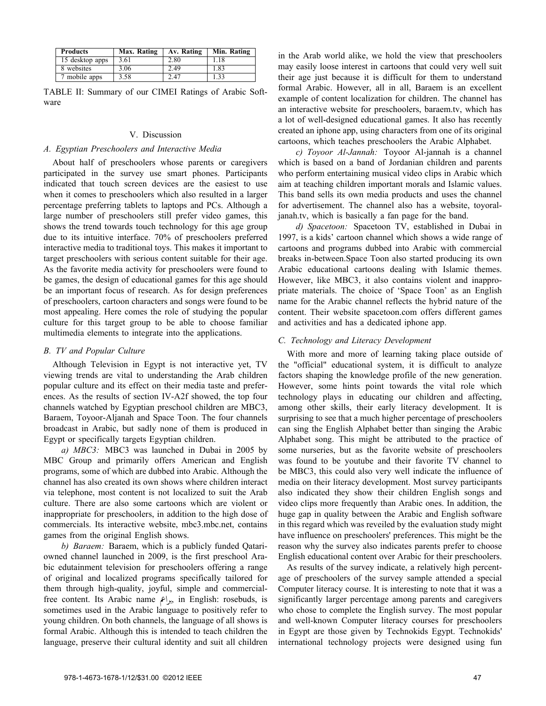| <b>Products</b> | Max. Rating | Av. Rating | Min. Rating |
|-----------------|-------------|------------|-------------|
| 15 desktop apps | 3.61        | 2.80       | 1.18        |
| 8 websites      | 3.06        | 2.49       | 1.83        |
| 7 mobile apps   | 3.58        | 2.47       | .33         |

TABLE II: Summary of our CIMEI Ratings of Arabic Software

## V. Discussion

## *A. Egyptian Preschoolers and Interactive Media*

About half of preschoolers whose parents or caregivers participated in the survey use smart phones. Participants indicated that touch screen devices are the easiest to use when it comes to preschoolers which also resulted in a larger percentage preferring tablets to laptops and PCs. Although a large number of preschoolers still prefer video games, this shows the trend towards touch technology for this age group due to its intuitive interface. 70% of preschoolers preferred interactive media to traditional toys. This makes it important to target preschoolers with serious content suitable for their age. As the favorite media activity for preschoolers were found to be games, the design of educational games for this age should be an important focus of research. As for design preferences of preschoolers, cartoon characters and songs were found to be most appealing. Here comes the role of studying the popular culture for this target group to be able to choose familiar multimedia elements to integrate into the applications.

## *B. TV and Popular Culture*

Although Television in Egypt is not interactive yet, TV viewing trends are vital to understanding the Arab children popular culture and its effect on their media taste and preferences. As the results of section IV-A2f showed, the top four channels watched by Egyptian preschool children are MBC3, Baraem, Toyoor-Aljanah and Space Toon. The four channels broadcast in Arabic, but sadly none of them is produced in Egypt or specifically targets Egyptian children.

*a) MBC3:* MBC3 was launched in Dubai in 2005 by MBC Group and primarily offers American and English programs, some of which are dubbed into Arabic. Although the channel has also created its own shows where children interact via telephone, most content is not localized to suit the Arab culture. There are also some cartoons which are violent or inappropriate for preschoolers, in addition to the high dose of commercials. Its interactive website, mbc3.mbc.net, contains games from the original English shows.

*b) Baraem:* Baraem, which is a publicly funded Qatariowned channel launched in 2009, is the first preschool Arabic edutainment television for preschoolers offering a range of original and localized programs specifically tailored for them through high-quality, joyful, simple and commercialfree content. Its Arabic name <sub> $x_i$ </sub> in English: rosebuds, is sometimes used in the Arabic language to positively refer to young children. On both channels, the language of all shows is formal Arabic. Although this is intended to teach children the language, preserve their cultural identity and suit all children in the Arab world alike, we hold the view that preschoolers may easily loose interest in cartoons that could very well suit their age just because it is difficult for them to understand formal Arabic. However, all in all, Baraem is an excellent example of content localization for children. The channel has an interactive website for preschoolers, baraem.tv, which has a lot of well-designed educational games. It also has recently created an iphone app, using characters from one of its original cartoons, which teaches preschoolers the Arabic Alphabet.

*c) Toyoor Al-Jannah:* Toyoor Al-jannah is a channel which is based on a band of Jordanian children and parents who perform entertaining musical video clips in Arabic which aim at teaching children important morals and Islamic values. This band sells its own media products and uses the channel for advertisement. The channel also has a website, toyoraljanah.tv, which is basically a fan page for the band.

*d) Spacetoon:* Spacetoon TV, established in Dubai in 1997, is a kids' cartoon channel which shows a wide range of cartoons and programs dubbed into Arabic with commercial breaks in-between.Space Toon also started producing its own Arabic educational cartoons dealing with Islamic themes. However, like MBC3, it also contains violent and inappropriate materials. The choice of 'Space Toon' as an English name for the Arabic channel reflects the hybrid nature of the content. Their website spacetoon.com offers different games and activities and has a dedicated iphone app.

## *C. Technology and Literacy Development*

With more and more of learning taking place outside of the "official" educational system, it is difficult to analyze factors shaping the knowledge profile of the new generation. However, some hints point towards the vital role which technology plays in educating our children and affecting, among other skills, their early literacy development. It is surprising to see that a much higher percentage of preschoolers can sing the English Alphabet better than singing the Arabic Alphabet song. This might be attributed to the practice of some nurseries, but as the favorite website of preschoolers was found to be youtube and their favorite TV channel to be MBC3, this could also very well indicate the influence of media on their literacy development. Most survey participants also indicated they show their children English songs and video clips more frequently than Arabic ones. In addition, the huge gap in quality between the Arabic and English software in this regard which was reveiled by the evaluation study might have influence on preschoolers' preferences. This might be the reason why the survey also indicates parents prefer to choose English educational content over Arabic for their preschoolers.

As results of the survey indicate, a relatively high percentage of preschoolers of the survey sample attended a special Computer literacy course. It is interesting to note that it was a significantly larger percentage among parents and caregivers who chose to complete the English survey. The most popular and well-known Computer literacy courses for preschoolers in Egypt are those given by Technokids Egypt. Technokids' international technology projects were designed using fun